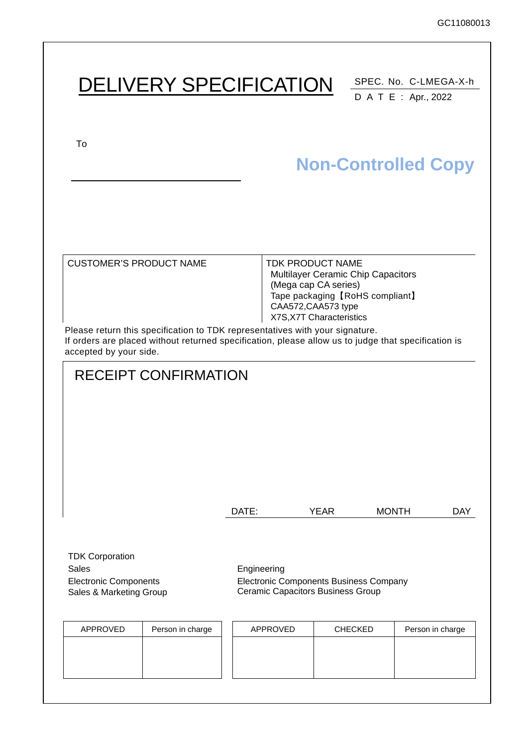|                                                                                                   | <b>DELIVERY SPECIFICATION</b>                                                                                                                                                       |                 |                                                                                                    |                                                                                    | SPEC. No. C-LMEGA-X-h                              |
|---------------------------------------------------------------------------------------------------|-------------------------------------------------------------------------------------------------------------------------------------------------------------------------------------|-----------------|----------------------------------------------------------------------------------------------------|------------------------------------------------------------------------------------|----------------------------------------------------|
| To                                                                                                |                                                                                                                                                                                     |                 |                                                                                                    |                                                                                    | D A T E : Apr., 2022<br><b>Non-Controlled Copy</b> |
| <b>CUSTOMER'S PRODUCT NAME</b><br>accepted by your side.                                          | Please return this specification to TDK representatives with your signature.<br>If orders are placed without returned specification, please allow us to judge that specification is |                 | <b>TDK PRODUCT NAME</b><br>(Mega cap CA series)<br>CAA572, CAA573 type<br>X7S, X7T Characteristics | <b>Multilayer Ceramic Chip Capacitors</b><br>Tape packaging [RoHS compliant]       |                                                    |
|                                                                                                   | <b>RECEIPT CONFIRMATION</b>                                                                                                                                                         | DATE:           | <b>YEAR</b>                                                                                        |                                                                                    | <b>MONTH</b><br><b>DAY</b>                         |
| <b>TDK Corporation</b><br><b>Sales</b><br><b>Electronic Components</b><br>Sales & Marketing Group |                                                                                                                                                                                     | Engineering     |                                                                                                    | Electronic Components Business Company<br><b>Ceramic Capacitors Business Group</b> |                                                    |
| APPROVED                                                                                          | Person in charge                                                                                                                                                                    | <b>APPROVED</b> |                                                                                                    | <b>CHECKED</b>                                                                     | Person in charge                                   |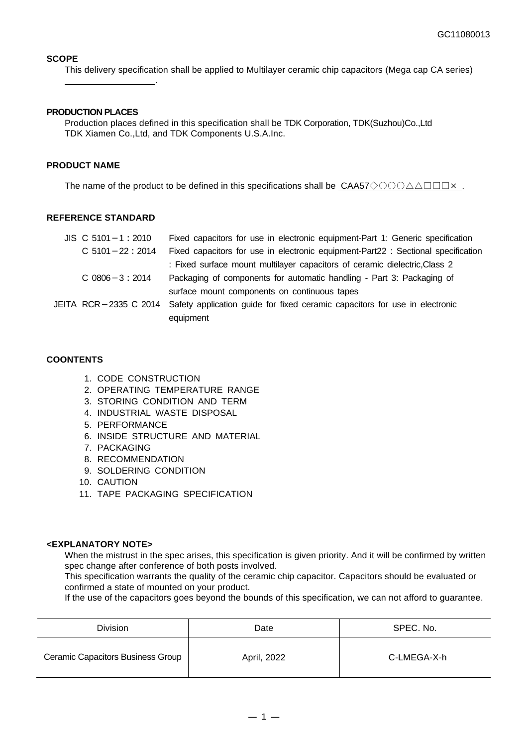### **SCOPE**

This delivery specification shall be applied to Multilayer ceramic chip capacitors (Mega cap CA series)

#### **PRODUCTION PLACES**

.

Production places defined in this specification shall be TDK Corporation, TDK(Suzhou)Co.,Ltd TDK Xiamen Co.,Ltd, and TDK Components U.S.A.Inc.

#### **PRODUCT NAME**

The name of the product to be defined in this specifications shall be CAA57◇○○○△△□□□×.

#### **REFERENCE STANDARD**

| $JIS$ C 5101 - 1 : 2010 | Fixed capacitors for use in electronic equipment-Part 1: Generic specification                    |
|-------------------------|---------------------------------------------------------------------------------------------------|
| $C$ 5101 - 22 : 2014    | Fixed capacitors for use in electronic equipment-Part22 : Sectional specification                 |
|                         | : Fixed surface mount multilayer capacitors of ceramic dielectric, Class 2                        |
| $C$ 0806 $-3$ : 2014    | Packaging of components for automatic handling - Part 3: Packaging of                             |
|                         | surface mount components on continuous tapes                                                      |
|                         | JEITA RCR-2335 C 2014 Safety application guide for fixed ceramic capacitors for use in electronic |
|                         | equipment                                                                                         |

### **COONTENTS**

- 1. CODE CONSTRUCTION
- 2. OPERATING TEMPERATURE RANGE
- 3. STORING CONDITION AND TERM
- 4. INDUSTRIAL WASTE DISPOSAL
- 5. PERFORMANCE
- 6. INSIDE STRUCTURE AND MATERIAL
- 7. PACKAGING
- 8. RECOMMENDATION
- 9. SOLDERING CONDITION
- 10. CAUTION
- 11. TAPE PACKAGING SPECIFICATION

### **<EXPLANATORY NOTE>**

When the mistrust in the spec arises, this specification is given priority. And it will be confirmed by written spec change after conference of both posts involved.

This specification warrants the quality of the ceramic chip capacitor. Capacitors should be evaluated or confirmed a state of mounted on your product.

If the use of the capacitors goes beyond the bounds of this specification, we can not afford to guarantee.

| <b>Division</b>                   | Date        | SPEC. No.   |
|-----------------------------------|-------------|-------------|
| Ceramic Capacitors Business Group | April, 2022 | C-LMEGA-X-h |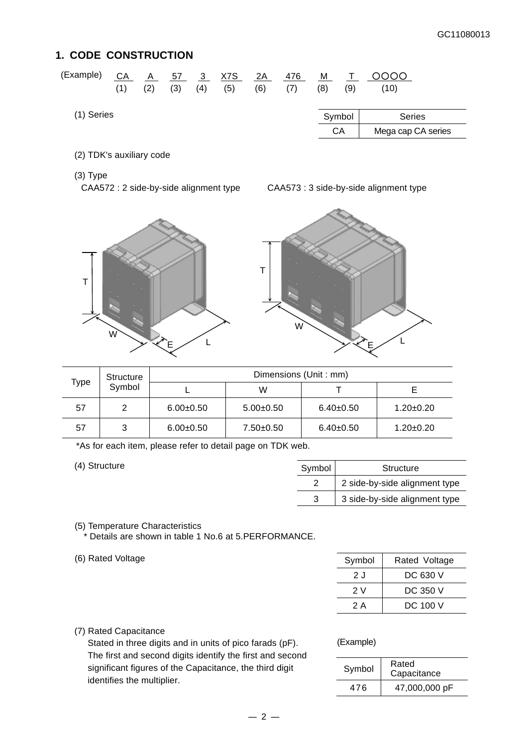## **1. CODE CONSTRUCTION**

| (Example)  | СA<br>(1) | A<br>(2) | 57<br>(3) | 3 <sup>5</sup><br>(4) | X7S<br>(5) | 2A<br>(6) | 476<br>(7) | M<br>(8) | (9)    | 0000<br>(10)       |
|------------|-----------|----------|-----------|-----------------------|------------|-----------|------------|----------|--------|--------------------|
| (1) Series |           |          |           |                       |            |           |            |          | Symbol | <b>Series</b>      |
|            |           |          |           |                       |            |           |            |          | CA     | Mega cap CA series |

(2) TDK's auxiliary code

(3) Type

CAA572 : 2 side-by-side alignment type CAA573 : 3 side-by-side alignment type





|      | Structure |             | Dimensions (Unit: mm) |             |                 |
|------|-----------|-------------|-----------------------|-------------|-----------------|
| Type | Symbol    |             | W                     |             |                 |
| 57   | 2         | $6.00+0.50$ | $5.00+0.50$           | $6.40+0.50$ | $1.20 \pm 0.20$ |
| 57   | 3         | $6.00+0.50$ | $7.50 \pm 0.50$       | $6.40+0.50$ | $1.20 \pm 0.20$ |

\*As for each item, please refer to detail page on TDK web.

 $(4)$  Structure

| Symbol | Structure                     |
|--------|-------------------------------|
|        | 2 side-by-side alignment type |
| 3      | 3 side-by-side alignment type |

(5) Temperature Characteristics \* Details are shown in table 1 No.6 at 5.PERFORMANCE.

(6) Rated Voltage

| Symbol | Rated Voltage |
|--------|---------------|
| 2 J    | DC 630 V      |
| 2 V    | DC 350 V      |
| 2 A    | DC 100 V      |

## (7) Rated Capacitance

Stated in three digits and in units of pico farads (pF). The first and second digits identify the first and second significant figures of the Capacitance, the third digit identifies the multiplier.

#### (Example)

| Symbol | Rated<br>Capacitance |
|--------|----------------------|
| 476    | 47,000,000 pF        |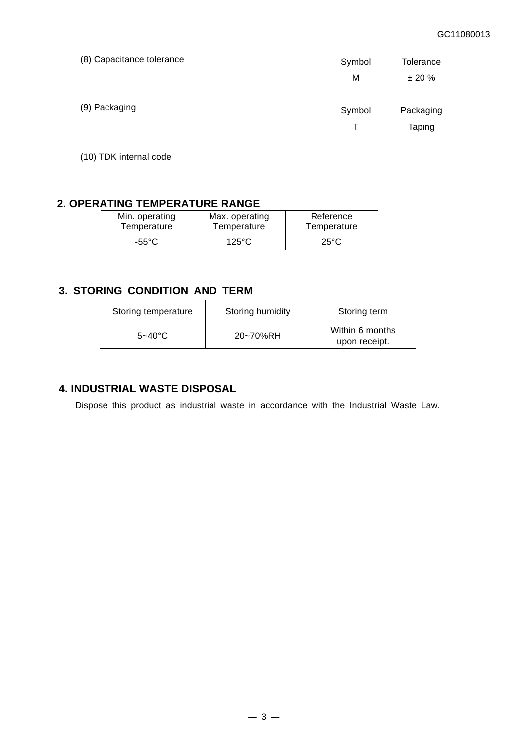| (8) Capacitance tolerance | Symbol | Tolerance |
|---------------------------|--------|-----------|
|                           | М      | ± 20%     |
|                           |        |           |
| (9) Packaging             | Symbol | Packaging |
|                           |        | Taping    |

(10) TDK internal code

## **2. OPERATING TEMPERATURE RANGE**

| Min. operating | Max. operating | Reference      |
|----------------|----------------|----------------|
| Temperature    | Temperature    | Temperature    |
| -55°C          | 125°C          | $25^{\circ}$ C |

## **3. STORING CONDITION AND TERM**

| Storing temperature | Storing humidity | Storing term                     |
|---------------------|------------------|----------------------------------|
| $5 - 40^{\circ}$ C  | 20~70%RH         | Within 6 months<br>upon receipt. |

## **4. INDUSTRIAL WASTE DISPOSAL**

Dispose this product as industrial waste in accordance with the Industrial Waste Law.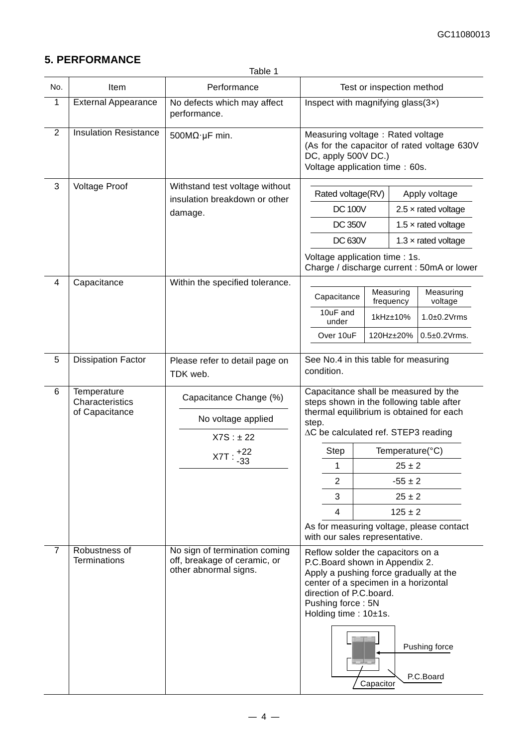## **5. PERFORMANCE**

| Table |
|-------|
|-------|

| No.            | <b>Item</b>                                      | Performance                                                                            | Test or inspection method                                                                                                                                                                                                                                                                                      |                                                                                                                                                                                                                                                                                              |  |                                             |
|----------------|--------------------------------------------------|----------------------------------------------------------------------------------------|----------------------------------------------------------------------------------------------------------------------------------------------------------------------------------------------------------------------------------------------------------------------------------------------------------------|----------------------------------------------------------------------------------------------------------------------------------------------------------------------------------------------------------------------------------------------------------------------------------------------|--|---------------------------------------------|
| 1              | <b>External Appearance</b>                       | No defects which may affect<br>performance.                                            | Inspect with magnifying glass $(3x)$                                                                                                                                                                                                                                                                           |                                                                                                                                                                                                                                                                                              |  |                                             |
| $\overline{2}$ | <b>Insulation Resistance</b>                     | 500 $M\Omega$ ·µF min.                                                                 | Measuring voltage: Rated voltage<br>DC, apply 500V DC.)<br>Voltage application time: 60s.                                                                                                                                                                                                                      |                                                                                                                                                                                                                                                                                              |  | (As for the capacitor of rated voltage 630V |
| 3              | <b>Voltage Proof</b>                             | Withstand test voltage without<br>insulation breakdown or other                        | Rated voltage(RV)                                                                                                                                                                                                                                                                                              |                                                                                                                                                                                                                                                                                              |  | Apply voltage                               |
|                |                                                  | damage.                                                                                | <b>DC 100V</b>                                                                                                                                                                                                                                                                                                 |                                                                                                                                                                                                                                                                                              |  | $2.5 \times$ rated voltage                  |
|                |                                                  |                                                                                        | <b>DC 350V</b>                                                                                                                                                                                                                                                                                                 |                                                                                                                                                                                                                                                                                              |  | 1.5 $\times$ rated voltage                  |
|                |                                                  |                                                                                        | <b>DC 630V</b>                                                                                                                                                                                                                                                                                                 |                                                                                                                                                                                                                                                                                              |  | 1.3 $\times$ rated voltage                  |
|                |                                                  |                                                                                        | Voltage application time : 1s.                                                                                                                                                                                                                                                                                 |                                                                                                                                                                                                                                                                                              |  | Charge / discharge current : 50mA or lower  |
| 4              | Capacitance                                      | Within the specified tolerance.                                                        |                                                                                                                                                                                                                                                                                                                | Measuring                                                                                                                                                                                                                                                                                    |  | Measuring                                   |
|                |                                                  |                                                                                        | Capacitance<br>10uF and                                                                                                                                                                                                                                                                                        | frequency                                                                                                                                                                                                                                                                                    |  | voltage                                     |
|                |                                                  |                                                                                        | under                                                                                                                                                                                                                                                                                                          | 1kHz±10%                                                                                                                                                                                                                                                                                     |  | $1.0\pm0.2$ Vrms                            |
|                |                                                  |                                                                                        | Over 10uF                                                                                                                                                                                                                                                                                                      | 120Hz±20%                                                                                                                                                                                                                                                                                    |  | $0.5 \pm 0.2$ Vrms.                         |
| 5              | <b>Dissipation Factor</b>                        | Please refer to detail page on<br>TDK web.                                             | condition.                                                                                                                                                                                                                                                                                                     | See No.4 in this table for measuring                                                                                                                                                                                                                                                         |  |                                             |
| 6              | Temperature<br>Characteristics<br>of Capacitance | Capacitance Change (%)<br>No voltage applied<br>$X7S : \pm 22$<br>+22<br>X7T<br>$-33$  | step.<br>Step<br>1<br>2<br>3<br>$\overline{4}$                                                                                                                                                                                                                                                                 | Capacitance shall be measured by the<br>steps shown in the following table after<br>thermal equilibrium is obtained for each<br>∆C be calculated ref. STEP3 reading<br>Temperature(°C)<br>$25 \pm 2$<br>$-55 \pm 2$<br>$25 \pm 2$<br>$125 \pm 2$<br>As for measuring voltage, please contact |  |                                             |
| $\overline{7}$ | Robustness of<br>Terminations                    | No sign of termination coming<br>off, breakage of ceramic, or<br>other abnormal signs. | with our sales representative.<br>Reflow solder the capacitors on a<br>P.C.Board shown in Appendix 2.<br>Apply a pushing force gradually at the<br>center of a specimen in a horizontal<br>direction of P.C.board.<br>Pushing force: 5N<br>Holding time : $10±1s$ .<br>Pushing force<br>P.C.Board<br>Capacitor |                                                                                                                                                                                                                                                                                              |  |                                             |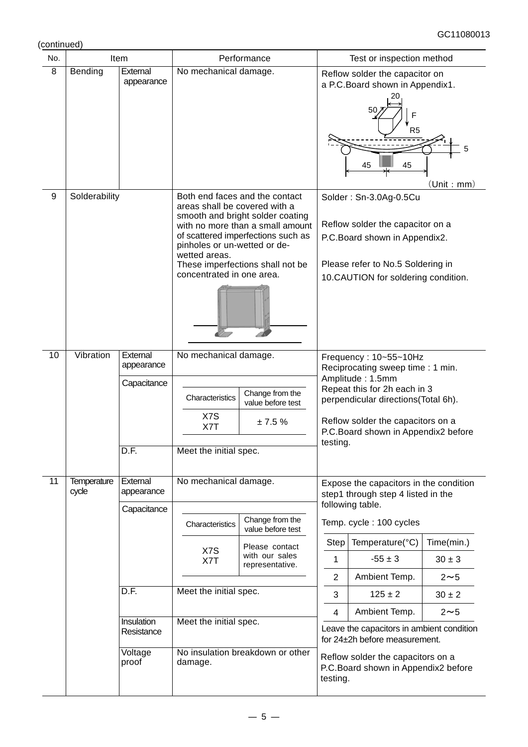(continued)

| No. |                             | Item                                                                                          |                                                                                                                                                                                                                                                          | Performance                                                                                                                                                                      | Test or inspection method                                                                                                                                                                                                                    |                                                                                                                                                                                                                                                                                                                                                                          |                                                                    |
|-----|-----------------------------|-----------------------------------------------------------------------------------------------|----------------------------------------------------------------------------------------------------------------------------------------------------------------------------------------------------------------------------------------------------------|----------------------------------------------------------------------------------------------------------------------------------------------------------------------------------|----------------------------------------------------------------------------------------------------------------------------------------------------------------------------------------------------------------------------------------------|--------------------------------------------------------------------------------------------------------------------------------------------------------------------------------------------------------------------------------------------------------------------------------------------------------------------------------------------------------------------------|--------------------------------------------------------------------|
| 8   | Bending                     | External<br>appearance                                                                        | No mechanical damage.                                                                                                                                                                                                                                    |                                                                                                                                                                                  |                                                                                                                                                                                                                                              | Reflow solder the capacitor on<br>a P.C.Board shown in Appendix1.<br>R <sub>5</sub><br>45<br>45                                                                                                                                                                                                                                                                          | (Unit : mm)                                                        |
| 9   | Solderability               |                                                                                               | areas shall be covered with a<br>pinholes or un-wetted or de-<br>wetted areas.<br>concentrated in one area.                                                                                                                                              | Both end faces and the contact<br>smooth and bright solder coating<br>with no more than a small amount<br>of scattered imperfections such as<br>These imperfections shall not be |                                                                                                                                                                                                                                              | Solder: Sn-3.0Ag-0.5Cu<br>Reflow solder the capacitor on a<br>P.C.Board shown in Appendix2.<br>Please refer to No.5 Soldering in<br>10.CAUTION for soldering condition.                                                                                                                                                                                                  |                                                                    |
| 10  | Vibration                   | External<br>appearance<br>Capacitance<br>D.F.                                                 | No mechanical damage.<br>Characteristics<br>X7S<br>X7T<br>Meet the initial spec.                                                                                                                                                                         | Change from the<br>value before test<br>± 7.5%                                                                                                                                   | Frequency: 10~55~10Hz<br>Reciprocating sweep time: 1 min.<br>Amplitude: 1.5mm<br>Repeat this for 2h each in 3<br>perpendicular directions(Total 6h).<br>Reflow solder the capacitors on a<br>P.C.Board shown in Appendix2 before<br>testing. |                                                                                                                                                                                                                                                                                                                                                                          |                                                                    |
| 11  | <b>Temperature</b><br>cycle | External<br>appearance<br>Capacitance<br>D.F.<br>Insulation<br>Resistance<br>Voltage<br>proof | No mechanical damage.<br>Change from the<br>Characteristics<br>value before test<br>Please contact<br>X7S<br>with our sales<br>X7T<br>representative.<br>Meet the initial spec.<br>Meet the initial spec.<br>No insulation breakdown or other<br>damage. |                                                                                                                                                                                  | Step<br>1<br>$\overline{2}$<br>3<br>4<br>testing.                                                                                                                                                                                            | Expose the capacitors in the condition<br>step1 through step 4 listed in the<br>following table.<br>Temp. cycle: 100 cycles<br>Temperature(°C)<br>$-55 \pm 3$<br>Ambient Temp.<br>$125 \pm 2$<br>Ambient Temp.<br>Leave the capacitors in ambient condition<br>for 24±2h before measurement.<br>Reflow solder the capacitors on a<br>P.C.Board shown in Appendix2 before | Time(min.)<br>$30 \pm 3$<br>$2 \sim 5$<br>$30 \pm 2$<br>$2 \sim 5$ |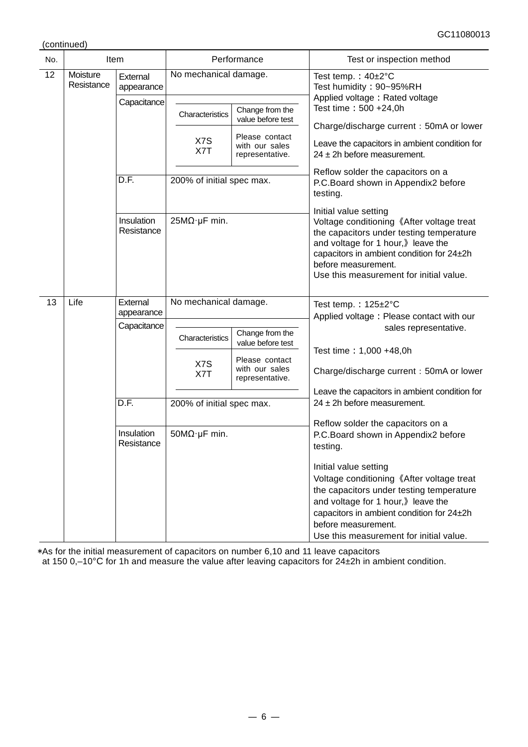(continued)

| No. |                        | Item                     | Performance               |                                                     | Test or inspection method                                                                                                                                                                                                                                           |  |
|-----|------------------------|--------------------------|---------------------------|-----------------------------------------------------|---------------------------------------------------------------------------------------------------------------------------------------------------------------------------------------------------------------------------------------------------------------------|--|
| 12  | Moisture<br>Resistance | External<br>appearance   | No mechanical damage.     |                                                     | Test temp.: $40\pm2^{\circ}C$<br>Test humidity: 90~95%RH                                                                                                                                                                                                            |  |
|     |                        | Capacitance              | Characteristics           | Change from the                                     | Applied voltage: Rated voltage<br>Test time: 500 +24,0h                                                                                                                                                                                                             |  |
|     |                        |                          |                           | value before test                                   | Charge/discharge current: 50mA or lower                                                                                                                                                                                                                             |  |
|     |                        |                          | X7S<br>X7T                | Please contact<br>with our sales<br>representative. | Leave the capacitors in ambient condition for<br>$24 \pm 2h$ before measurement.                                                                                                                                                                                    |  |
|     |                        | D.F.                     | 200% of initial spec max. |                                                     | Reflow solder the capacitors on a<br>P.C.Board shown in Appendix2 before<br>testing.                                                                                                                                                                                |  |
|     |                        | Insulation<br>Resistance | 25MΩ·μF min.              |                                                     | Initial value setting<br>Voltage conditioning 《After voltage treat<br>the capacitors under testing temperature<br>and voltage for 1 hour, leave the<br>capacitors in ambient condition for 24±2h<br>before measurement.<br>Use this measurement for initial value.  |  |
| 13  | Life                   | External<br>appearance   | No mechanical damage.     |                                                     | Test temp.: 125±2°C<br>Applied voltage: Please contact with our                                                                                                                                                                                                     |  |
|     |                        | Capacitance              | Characteristics           | Change from the<br>value before test                | sales representative.                                                                                                                                                                                                                                               |  |
|     |                        |                          | X7S<br>X7T                | Please contact<br>with our sales<br>representative. | Test time: 1,000 +48,0h<br>Charge/discharge current: 50mA or lower                                                                                                                                                                                                  |  |
|     |                        | D.F.                     | 200% of initial spec max. |                                                     | Leave the capacitors in ambient condition for<br>$24 \pm 2h$ before measurement.                                                                                                                                                                                    |  |
|     |                        |                          |                           |                                                     |                                                                                                                                                                                                                                                                     |  |
|     |                        | Insulation<br>Resistance | $50M\Omega$ ·µF min.      |                                                     | Reflow solder the capacitors on a<br>P.C.Board shown in Appendix2 before<br>testing.                                                                                                                                                                                |  |
|     |                        |                          |                           |                                                     | Initial value setting<br>Voltage conditioning 《After voltage treat<br>the capacitors under testing temperature<br>and voltage for 1 hour, bleave the<br>capacitors in ambient condition for 24±2h<br>before measurement.<br>Use this measurement for initial value. |  |

\*As for the initial measurement of capacitors on number 6,10 and 11 leave capacitors

at 150 0,–10°C for 1h and measure the value after leaving capacitors for 24±2h in ambient condition.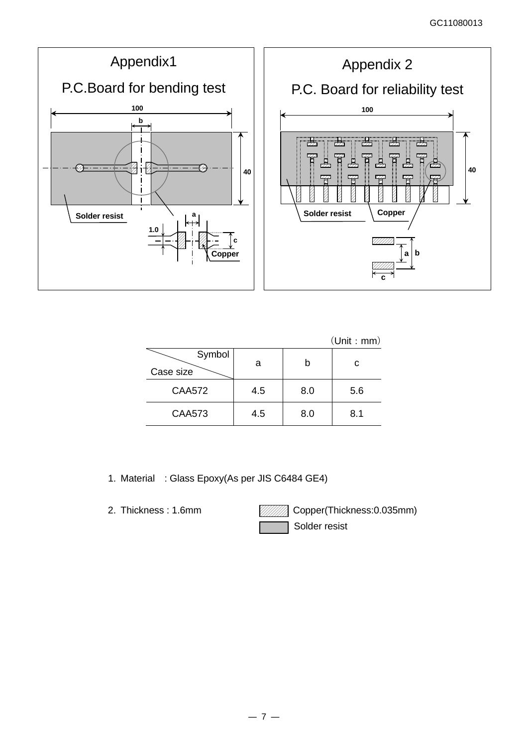

|                     |     |     | (Unit : mm) |
|---------------------|-----|-----|-------------|
| Symbol<br>Case size | a   | b   | с           |
| <b>CAA572</b>       | 4.5 | 8.0 | 5.6         |
| <b>CAA573</b>       | 4.5 | 8.0 | 8.1         |

1. Material : Glass Epoxy(As per JIS C6484 GE4)

2. Thickness: 1.6mm **Copper(Thickness: 0.035mm)** Solder resist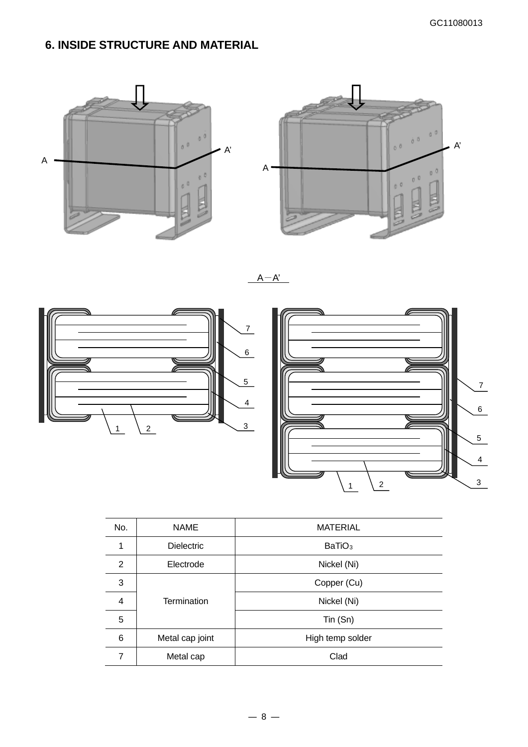# **6. INSIDE STRUCTURE AND MATERIAL**





 $A-A'$ 





| No.            | <b>NAME</b>       | <b>MATERIAL</b>    |
|----------------|-------------------|--------------------|
| 1              | <b>Dielectric</b> | BaTiO <sub>3</sub> |
| 2              | Electrode         | Nickel (Ni)        |
| 3              |                   | Copper (Cu)        |
| $\overline{4}$ | Termination       | Nickel (Ni)        |
| 5              |                   | $T$ in $(Sn)$      |
| 6              | Metal cap joint   | High temp solder   |
| 7              | Metal cap         | Clad               |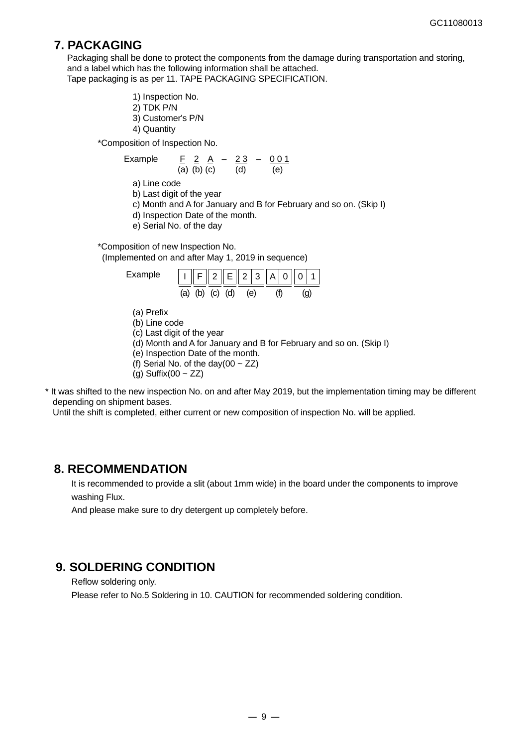## **7. PACKAGING**

Packaging shall be done to protect the components from the damage during transportation and storing, and a label which has the following information shall be attached. Tape packaging is as per 11. TAPE PACKAGING SPECIFICATION.

- 1) Inspection No. 2) TDK P/N
- 3) Customer's P/N
- 4) Quantity

\*Composition of Inspection No.

Example 
$$
\frac{F}{(a)} = \frac{2A}{(b)} = \frac{23}{(d)} = \frac{0.01}{(e)}
$$

a) Line code

- b) Last digit of the year
- c) Month and A for January and B for February and so on. (Skip I)
- d) Inspection Date of the month.
- e) Serial No. of the day

\*Composition of new Inspection No. (Implemented on and after May 1, 2019 in sequence)

| Example | $\ I\ F\ 2\ E\ 2 3\ A\ 0\ 0 1$ |  |     |  |  |  |
|---------|--------------------------------|--|-----|--|--|--|
|         | $(a)$ $(b)$ $(c)$ $(d)$        |  | (e) |  |  |  |

- (a) Prefix
- (b) Line code
- (c) Last digit of the year
- (d) Month and A for January and B for February and so on. (Skip I)
- (e) Inspection Date of the month.
- (f) Serial No. of the day(00  $\sim$  ZZ)

 $(g)$  Suffix(00 ~ ZZ)

\* It was shifted to the new inspection No. on and after May 2019, but the implementation timing may be different depending on shipment bases.

Until the shift is completed, either current or new composition of inspection No. will be applied.

## **8. RECOMMENDATION**

It is recommended to provide a slit (about 1mm wide) in the board under the components to improve washing Flux.

And please make sure to dry detergent up completely before.

## **9. SOLDERING CONDITION**

Reflow soldering only.

Please refer to No.5 Soldering in 10. CAUTION for recommended soldering condition.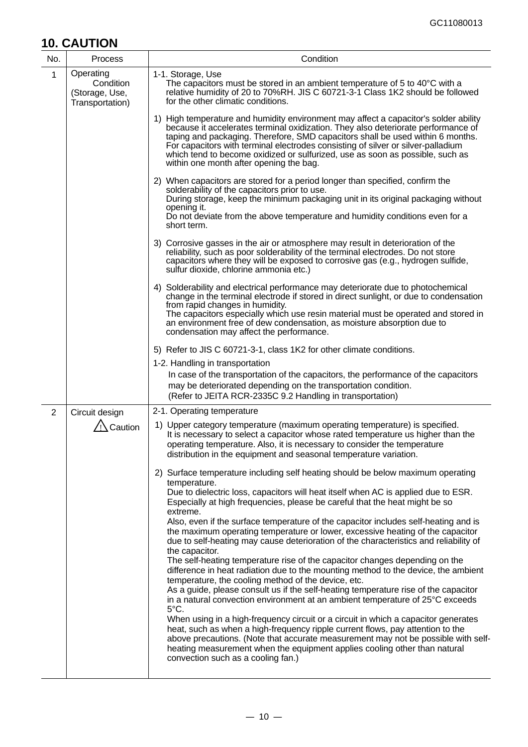# **10. CAUTION**

| No.            | Process                                                     | Condition                                                                                                                                                                                                                                                                                                                                                                                                                                                                                                                                                                                                                                                                                                                                                                                                                                                                                                                                                                                                                                                                                                                                                                                                                                                                                                                                                        |
|----------------|-------------------------------------------------------------|------------------------------------------------------------------------------------------------------------------------------------------------------------------------------------------------------------------------------------------------------------------------------------------------------------------------------------------------------------------------------------------------------------------------------------------------------------------------------------------------------------------------------------------------------------------------------------------------------------------------------------------------------------------------------------------------------------------------------------------------------------------------------------------------------------------------------------------------------------------------------------------------------------------------------------------------------------------------------------------------------------------------------------------------------------------------------------------------------------------------------------------------------------------------------------------------------------------------------------------------------------------------------------------------------------------------------------------------------------------|
| 1              | Operating<br>Condition<br>(Storage, Use,<br>Transportation) | 1-1. Storage, Use<br>The capacitors must be stored in an ambient temperature of 5 to 40°C with a<br>relative humidity of 20 to 70%RH. JIS C 60721-3-1 Class 1K2 should be followed<br>for the other climatic conditions.                                                                                                                                                                                                                                                                                                                                                                                                                                                                                                                                                                                                                                                                                                                                                                                                                                                                                                                                                                                                                                                                                                                                         |
|                |                                                             | 1) High temperature and humidity environment may affect a capacitor's solder ability<br>because it accelerates terminal oxidization. They also deteriorate performance of<br>taping and packaging. Therefore, SMD capacitors shall be used within 6 months.<br>For capacitors with terminal electrodes consisting of silver or silver-palladium<br>which tend to become oxidized or sulfurized, use as soon as possible, such as<br>within one month after opening the bag.                                                                                                                                                                                                                                                                                                                                                                                                                                                                                                                                                                                                                                                                                                                                                                                                                                                                                      |
|                |                                                             | 2) When capacitors are stored for a period longer than specified, confirm the<br>solderability of the capacitors prior to use.<br>During storage, keep the minimum packaging unit in its original packaging without<br>opening it.<br>Do not deviate from the above temperature and humidity conditions even for a<br>short term.                                                                                                                                                                                                                                                                                                                                                                                                                                                                                                                                                                                                                                                                                                                                                                                                                                                                                                                                                                                                                                |
|                |                                                             | 3) Corrosive gasses in the air or atmosphere may result in deterioration of the<br>reliability, such as poor solderability of the terminal electrodes. Do not store<br>capacitors where they will be exposed to corrosive gas (e.g., hydrogen sulfide,<br>sulfur dioxide, chlorine ammonia etc.)                                                                                                                                                                                                                                                                                                                                                                                                                                                                                                                                                                                                                                                                                                                                                                                                                                                                                                                                                                                                                                                                 |
|                |                                                             | 4) Solderability and electrical performance may deteriorate due to photochemical<br>change in the terminal electrode if stored in direct sunlight, or due to condensation<br>from rapid changes in humidity.<br>The capacitors especially which use resin material must be operated and stored in<br>an environment free of dew condensation, as moisture absorption due to<br>condensation may affect the performance.                                                                                                                                                                                                                                                                                                                                                                                                                                                                                                                                                                                                                                                                                                                                                                                                                                                                                                                                          |
|                |                                                             | 5) Refer to JIS C 60721-3-1, class 1K2 for other climate conditions.                                                                                                                                                                                                                                                                                                                                                                                                                                                                                                                                                                                                                                                                                                                                                                                                                                                                                                                                                                                                                                                                                                                                                                                                                                                                                             |
|                |                                                             | 1-2. Handling in transportation<br>In case of the transportation of the capacitors, the performance of the capacitors<br>may be deteriorated depending on the transportation condition.<br>(Refer to JEITA RCR-2335C 9.2 Handling in transportation)                                                                                                                                                                                                                                                                                                                                                                                                                                                                                                                                                                                                                                                                                                                                                                                                                                                                                                                                                                                                                                                                                                             |
| $\overline{2}$ | Circuit design                                              | 2-1. Operating temperature                                                                                                                                                                                                                                                                                                                                                                                                                                                                                                                                                                                                                                                                                                                                                                                                                                                                                                                                                                                                                                                                                                                                                                                                                                                                                                                                       |
|                | <sup>'</sup> ! Caution                                      | 1) Upper category temperature (maximum operating temperature) is specified.<br>It is necessary to select a capacitor whose rated temperature us higher than the<br>operating temperature. Also, it is necessary to consider the temperature<br>distribution in the equipment and seasonal temperature variation.                                                                                                                                                                                                                                                                                                                                                                                                                                                                                                                                                                                                                                                                                                                                                                                                                                                                                                                                                                                                                                                 |
|                |                                                             | 2) Surface temperature including self heating should be below maximum operating<br>temperature.<br>Due to dielectric loss, capacitors will heat itself when AC is applied due to ESR.<br>Especially at high frequencies, please be careful that the heat might be so<br>extreme.<br>Also, even if the surface temperature of the capacitor includes self-heating and is<br>the maximum operating temperature or lower, excessive heating of the capacitor<br>due to self-heating may cause deterioration of the characteristics and reliability of<br>the capacitor.<br>The self-heating temperature rise of the capacitor changes depending on the<br>difference in heat radiation due to the mounting method to the device, the ambient<br>temperature, the cooling method of the device, etc.<br>As a guide, please consult us if the self-heating temperature rise of the capacitor<br>in a natural convection environment at an ambient temperature of 25°C exceeds<br>5°C.<br>When using in a high-frequency circuit or a circuit in which a capacitor generates<br>heat, such as when a high-frequency ripple current flows, pay attention to the<br>above precautions. (Note that accurate measurement may not be possible with self-<br>heating measurement when the equipment applies cooling other than natural<br>convection such as a cooling fan.) |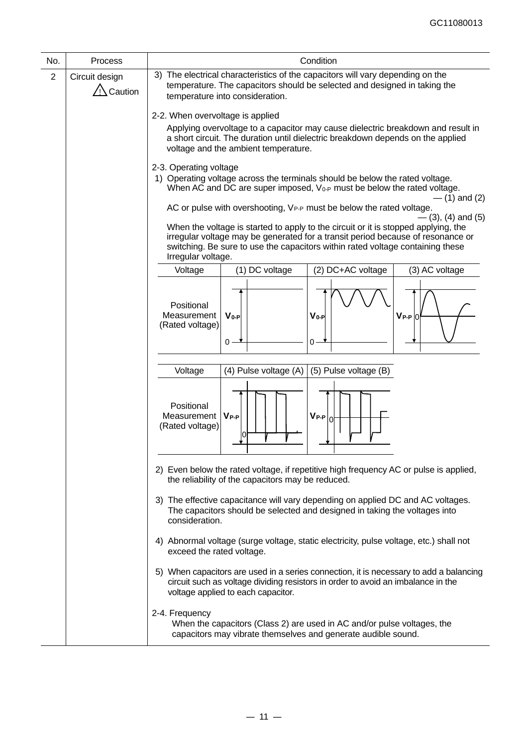| No.            | Process                              | Condition                                                                                                                                                                                                                                                                                                                                                                   |  |  |  |  |  |
|----------------|--------------------------------------|-----------------------------------------------------------------------------------------------------------------------------------------------------------------------------------------------------------------------------------------------------------------------------------------------------------------------------------------------------------------------------|--|--|--|--|--|
| $\overline{2}$ | Circuit design<br>$\sqrt{2}$ Caution | 3) The electrical characteristics of the capacitors will vary depending on the<br>temperature. The capacitors should be selected and designed in taking the<br>temperature into consideration.                                                                                                                                                                              |  |  |  |  |  |
|                |                                      | 2-2. When overvoltage is applied                                                                                                                                                                                                                                                                                                                                            |  |  |  |  |  |
|                |                                      | Applying overvoltage to a capacitor may cause dielectric breakdown and result in<br>a short circuit. The duration until dielectric breakdown depends on the applied<br>voltage and the ambient temperature.                                                                                                                                                                 |  |  |  |  |  |
|                |                                      | 2-3. Operating voltage<br>1) Operating voltage across the terminals should be below the rated voltage.<br>When AC and DC are super imposed, $V_{0-P}$ must be below the rated voltage.<br>$-$ (1) and (2)                                                                                                                                                                   |  |  |  |  |  |
|                |                                      | AC or pulse with overshooting, VP-P must be below the rated voltage.<br>- (3), (4) and (5)<br>When the voltage is started to apply to the circuit or it is stopped applying, the<br>irregular voltage may be generated for a transit period because of resonance or<br>switching. Be sure to use the capacitors within rated voltage containing these<br>Irregular voltage. |  |  |  |  |  |
|                |                                      | (1) DC voltage<br>(2) DC+AC voltage<br>(3) AC voltage<br>Voltage                                                                                                                                                                                                                                                                                                            |  |  |  |  |  |
|                |                                      | Positional<br>Measurement<br>$V_0 - P$<br>$V_0-P$<br>$V_{P-P}$ 0<br>(Rated voltage)<br>0<br>ი                                                                                                                                                                                                                                                                               |  |  |  |  |  |
|                |                                      | (5) Pulse voltage (B)<br>Voltage<br>(4) Pulse voltage (A)                                                                                                                                                                                                                                                                                                                   |  |  |  |  |  |
|                |                                      | Positional<br>$V_{P-P} _{0}$<br>Measurement<br>$V_{P-P}$<br>(Rated voltage)<br>$\overline{0}$                                                                                                                                                                                                                                                                               |  |  |  |  |  |
|                |                                      | 2) Even below the rated voltage, if repetitive high frequency AC or pulse is applied,<br>the reliability of the capacitors may be reduced.                                                                                                                                                                                                                                  |  |  |  |  |  |
|                |                                      | 3) The effective capacitance will vary depending on applied DC and AC voltages.<br>The capacitors should be selected and designed in taking the voltages into<br>consideration.                                                                                                                                                                                             |  |  |  |  |  |
|                |                                      | 4) Abnormal voltage (surge voltage, static electricity, pulse voltage, etc.) shall not<br>exceed the rated voltage.                                                                                                                                                                                                                                                         |  |  |  |  |  |
|                |                                      | 5) When capacitors are used in a series connection, it is necessary to add a balancing<br>circuit such as voltage dividing resistors in order to avoid an imbalance in the<br>voltage applied to each capacitor.                                                                                                                                                            |  |  |  |  |  |
|                |                                      | 2-4. Frequency<br>When the capacitors (Class 2) are used in AC and/or pulse voltages, the<br>capacitors may vibrate themselves and generate audible sound.                                                                                                                                                                                                                  |  |  |  |  |  |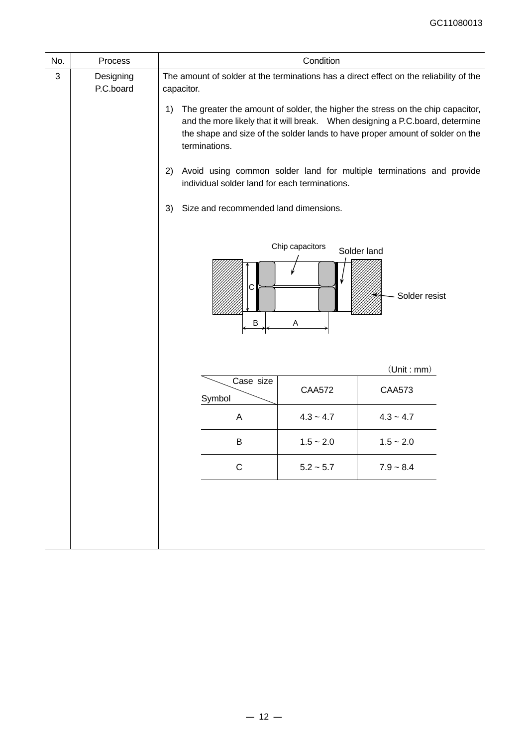| No.                                    |  | Condition                                                                                                                                    |                                                                 |                                                                                                                                                                                                                                                                                                                                                                                                                                                     |  |  |
|----------------------------------------|--|----------------------------------------------------------------------------------------------------------------------------------------------|-----------------------------------------------------------------|-----------------------------------------------------------------------------------------------------------------------------------------------------------------------------------------------------------------------------------------------------------------------------------------------------------------------------------------------------------------------------------------------------------------------------------------------------|--|--|
| Process<br>3<br>Designing<br>P.C.board |  | capacitor.<br>1)<br>terminations.<br>2)<br>individual solder land for each terminations.<br>Size and recommended land dimensions.<br>3)<br>C | Chip capacitors                                                 | The amount of solder at the terminations has a direct effect on the reliability of the<br>The greater the amount of solder, the higher the stress on the chip capacitor,<br>and the more likely that it will break.  When designing a P.C.board, determine<br>the shape and size of the solder lands to have proper amount of solder on the<br>Avoid using common solder land for multiple terminations and provide<br>Solder land<br>Solder resist |  |  |
|                                        |  | B<br>Case size<br>Symbol<br>A<br>B<br>$\mathsf C$                                                                                            | A<br><b>CAA572</b><br>$4.3 - 4.7$<br>$1.5 - 2.0$<br>$5.2 - 5.7$ | (Unit : mm)<br><b>CAA573</b><br>$4.3 - 4.7$<br>$1.5 - 2.0$<br>$7.9 - 8.4$                                                                                                                                                                                                                                                                                                                                                                           |  |  |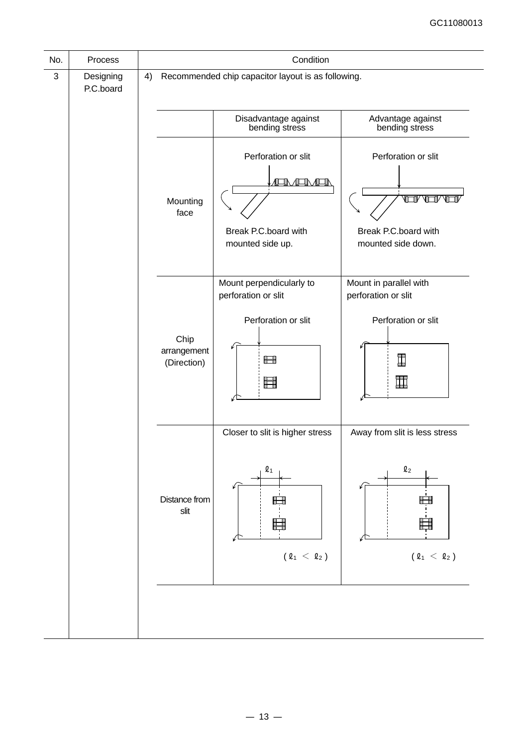| No.          | Process                |    | Condition                          |                                                                                         |                                                                                                        |  |  |
|--------------|------------------------|----|------------------------------------|-----------------------------------------------------------------------------------------|--------------------------------------------------------------------------------------------------------|--|--|
| $\mathbf{3}$ | Designing<br>P.C.board | 4) |                                    | Recommended chip capacitor layout is as following.                                      |                                                                                                        |  |  |
|              |                        |    |                                    | Disadvantage against<br>bending stress                                                  | Advantage against<br>bending stress                                                                    |  |  |
|              |                        |    | Mounting<br>face                   | Perforation or slit<br><b>EN ATIVEE</b><br>Break P.C.board with<br>mounted side up.     | Perforation or slit<br>™™<br>脾<br>Break P.C.board with<br>mounted side down.                           |  |  |
|              |                        |    | Chip<br>arrangement<br>(Direction) | Mount perpendicularly to<br>perforation or slit<br>Perforation or slit<br>Ħ<br>■        | Mount in parallel with<br>perforation or slit<br>Perforation or slit<br>I<br>皿                         |  |  |
|              |                        |    | Distance from<br>slit              | Closer to slit is higher stress<br>$\boldsymbol{\varrho}_1$<br>H<br>$(\ell_1 < \ell_2)$ | Away from slit is less stress<br>$\mathbf{\ell}_2$<br>Ĥ<br>$(\,\varrho_{\,1}\,\,<\,\,\varrho_{\,2}\,)$ |  |  |
|              |                        |    |                                    |                                                                                         |                                                                                                        |  |  |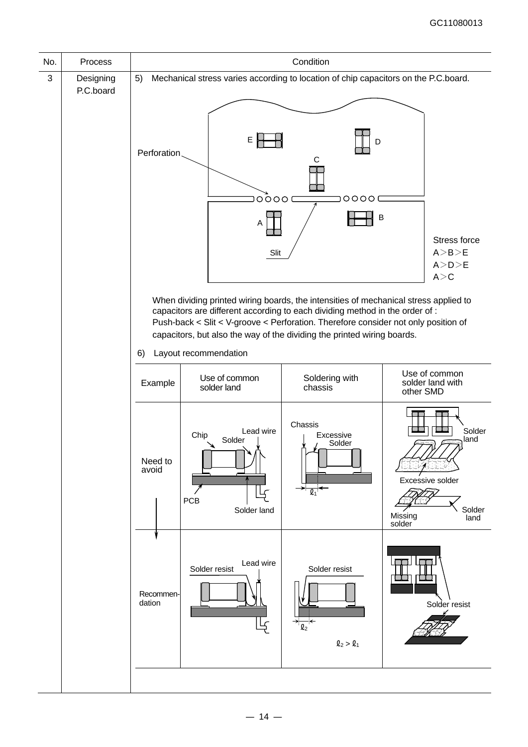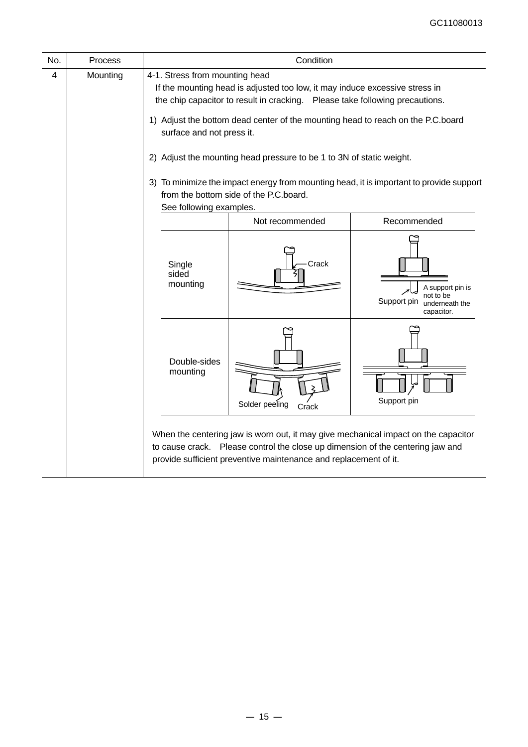| Process  | Condition                                                                                                                                                                                                  |                         |                                                                                                                                                                                                                                                                                                                                          |  |  |  |  |
|----------|------------------------------------------------------------------------------------------------------------------------------------------------------------------------------------------------------------|-------------------------|------------------------------------------------------------------------------------------------------------------------------------------------------------------------------------------------------------------------------------------------------------------------------------------------------------------------------------------|--|--|--|--|
| Mounting |                                                                                                                                                                                                            |                         |                                                                                                                                                                                                                                                                                                                                          |  |  |  |  |
|          |                                                                                                                                                                                                            |                         |                                                                                                                                                                                                                                                                                                                                          |  |  |  |  |
|          | 2) Adjust the mounting head pressure to be 1 to 3N of static weight.<br>3) To minimize the impact energy from mounting head, it is important to provide support<br>from the bottom side of the P.C. board. |                         |                                                                                                                                                                                                                                                                                                                                          |  |  |  |  |
|          |                                                                                                                                                                                                            | Not recommended         | Recommended                                                                                                                                                                                                                                                                                                                              |  |  |  |  |
|          | Single<br>sided<br>mounting                                                                                                                                                                                | Crack                   | A support pin is<br>not to be<br>Support pin<br>underneath the<br>capacitor.                                                                                                                                                                                                                                                             |  |  |  |  |
|          | Double-sides<br>mounting                                                                                                                                                                                   | Solder peeling<br>Crack | Support pin                                                                                                                                                                                                                                                                                                                              |  |  |  |  |
|          |                                                                                                                                                                                                            |                         | 4-1. Stress from mounting head<br>If the mounting head is adjusted too low, it may induce excessive stress in<br>the chip capacitor to result in cracking. Please take following precautions.<br>1) Adjust the bottom dead center of the mounting head to reach on the P.C.board<br>surface and not press it.<br>See following examples. |  |  |  |  |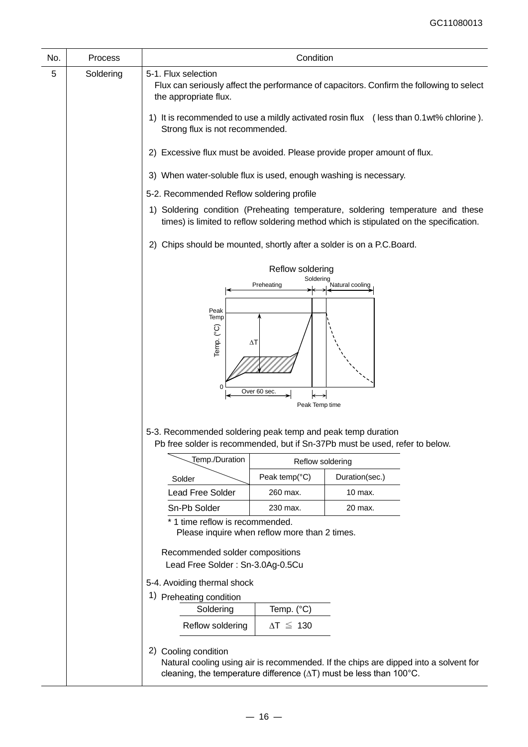| No. | Process   | Condition                                                                                                                                                                 |                                                                          |                                                                                                                                                                               |  |  |  |  |
|-----|-----------|---------------------------------------------------------------------------------------------------------------------------------------------------------------------------|--------------------------------------------------------------------------|-------------------------------------------------------------------------------------------------------------------------------------------------------------------------------|--|--|--|--|
| 5   | Soldering | 5-1. Flux selection<br>the appropriate flux.                                                                                                                              |                                                                          | Flux can seriously affect the performance of capacitors. Confirm the following to select                                                                                      |  |  |  |  |
|     |           | 1) It is recommended to use a mildly activated rosin flux (less than 0.1wt% chlorine).<br>Strong flux is not recommended.                                                 |                                                                          |                                                                                                                                                                               |  |  |  |  |
|     |           |                                                                                                                                                                           | 2) Excessive flux must be avoided. Please provide proper amount of flux. |                                                                                                                                                                               |  |  |  |  |
|     |           | 3) When water-soluble flux is used, enough washing is necessary.                                                                                                          |                                                                          |                                                                                                                                                                               |  |  |  |  |
|     |           | 5-2. Recommended Reflow soldering profile                                                                                                                                 |                                                                          |                                                                                                                                                                               |  |  |  |  |
|     |           | 1) Soldering condition (Preheating temperature, soldering temperature and these<br>times) is limited to reflow soldering method which is stipulated on the specification. |                                                                          |                                                                                                                                                                               |  |  |  |  |
|     |           | 2) Chips should be mounted, shortly after a solder is on a P.C.Board.                                                                                                     |                                                                          |                                                                                                                                                                               |  |  |  |  |
|     |           | Reflow soldering                                                                                                                                                          |                                                                          |                                                                                                                                                                               |  |  |  |  |
|     |           | Soldering<br>Preheating<br>Natural cooling                                                                                                                                |                                                                          |                                                                                                                                                                               |  |  |  |  |
|     |           |                                                                                                                                                                           |                                                                          |                                                                                                                                                                               |  |  |  |  |
|     |           | Peak<br>Temp<br>Temp. (°C)<br>ΔΤ<br>Over 60 sec.<br>Peak Temp time                                                                                                        |                                                                          |                                                                                                                                                                               |  |  |  |  |
|     |           | 5-3. Recommended soldering peak temp and peak temp duration                                                                                                               |                                                                          | Pb free solder is recommended, but if Sn-37Pb must be used, refer to below.                                                                                                   |  |  |  |  |
|     |           | Temp./Duration                                                                                                                                                            | Reflow soldering                                                         |                                                                                                                                                                               |  |  |  |  |
|     |           | Solder                                                                                                                                                                    | Peak temp(°C)                                                            | Duration(sec.)                                                                                                                                                                |  |  |  |  |
|     |           | <b>Lead Free Solder</b>                                                                                                                                                   | 260 max.                                                                 | 10 max.                                                                                                                                                                       |  |  |  |  |
|     |           | Sn-Pb Solder                                                                                                                                                              | 230 max.                                                                 | 20 max.                                                                                                                                                                       |  |  |  |  |
|     |           | * 1 time reflow is recommended.<br>Please inquire when reflow more than 2 times.                                                                                          |                                                                          |                                                                                                                                                                               |  |  |  |  |
|     |           | Recommended solder compositions<br>Lead Free Solder: Sn-3.0Ag-0.5Cu                                                                                                       |                                                                          |                                                                                                                                                                               |  |  |  |  |
|     |           | 5-4. Avoiding thermal shock<br>1) Preheating condition                                                                                                                    |                                                                          |                                                                                                                                                                               |  |  |  |  |
|     |           | Temp. (°C)<br>Soldering                                                                                                                                                   |                                                                          |                                                                                                                                                                               |  |  |  |  |
|     |           | Reflow soldering                                                                                                                                                          | $\Delta T \leq 130$                                                      |                                                                                                                                                                               |  |  |  |  |
|     |           | 2) Cooling condition                                                                                                                                                      |                                                                          | Natural cooling using air is recommended. If the chips are dipped into a solvent for<br>cleaning, the temperature difference $(\Delta T)$ must be less than 100 $^{\circ}$ C. |  |  |  |  |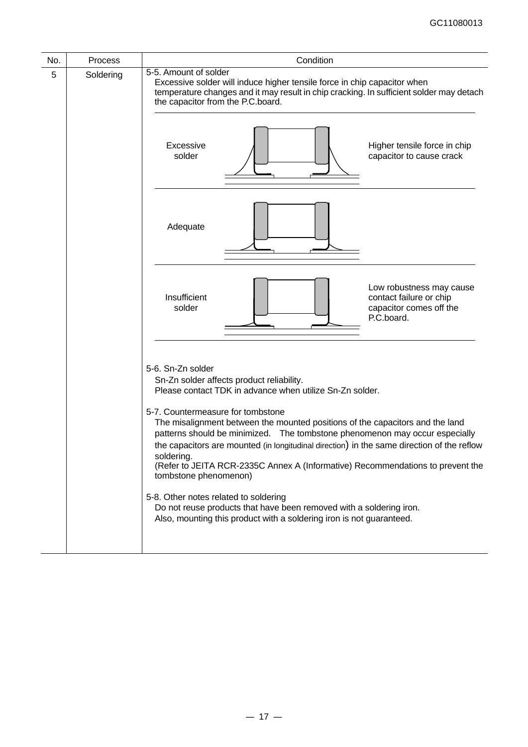| No. | <b>Process</b> | Condition                                                                                                                                                                                                                                                                                                                                                                                                                                                                                                                                                                                                                                                                                                                                      |  |  |  |  |
|-----|----------------|------------------------------------------------------------------------------------------------------------------------------------------------------------------------------------------------------------------------------------------------------------------------------------------------------------------------------------------------------------------------------------------------------------------------------------------------------------------------------------------------------------------------------------------------------------------------------------------------------------------------------------------------------------------------------------------------------------------------------------------------|--|--|--|--|
| 5   | Soldering      | 5-5. Amount of solder<br>Excessive solder will induce higher tensile force in chip capacitor when<br>temperature changes and it may result in chip cracking. In sufficient solder may detach<br>the capacitor from the P.C.board.                                                                                                                                                                                                                                                                                                                                                                                                                                                                                                              |  |  |  |  |
|     |                | Excessive<br>Higher tensile force in chip<br>solder<br>capacitor to cause crack                                                                                                                                                                                                                                                                                                                                                                                                                                                                                                                                                                                                                                                                |  |  |  |  |
|     |                | Adequate                                                                                                                                                                                                                                                                                                                                                                                                                                                                                                                                                                                                                                                                                                                                       |  |  |  |  |
|     |                | Low robustness may cause<br>Insufficient<br>contact failure or chip<br>solder<br>capacitor comes off the<br>P.C.board.                                                                                                                                                                                                                                                                                                                                                                                                                                                                                                                                                                                                                         |  |  |  |  |
|     |                | 5-6. Sn-Zn solder<br>Sn-Zn solder affects product reliability.<br>Please contact TDK in advance when utilize Sn-Zn solder.<br>5-7. Countermeasure for tombstone<br>The misalignment between the mounted positions of the capacitors and the land<br>patterns should be minimized. The tombstone phenomenon may occur especially<br>the capacitors are mounted (in longitudinal direction) in the same direction of the reflow<br>soldering.<br>(Refer to JEITA RCR-2335C Annex A (Informative) Recommendations to prevent the<br>tombstone phenomenon)<br>5-8. Other notes related to soldering<br>Do not reuse products that have been removed with a soldering iron.<br>Also, mounting this product with a soldering iron is not guaranteed. |  |  |  |  |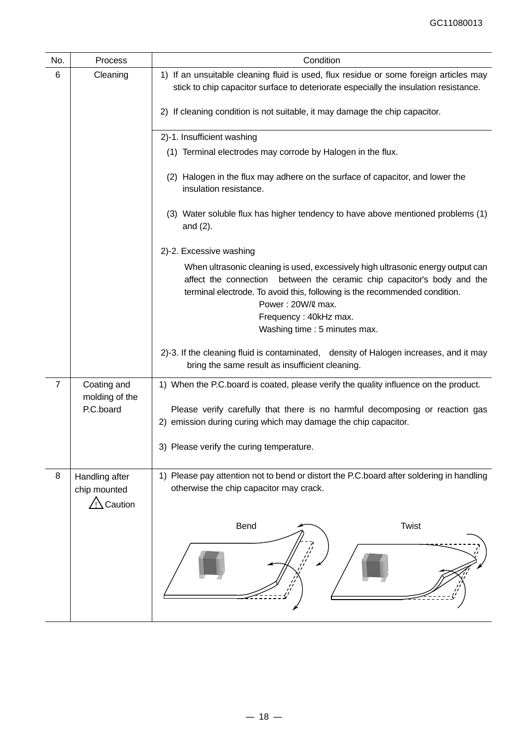| No. | Process                                   | Condition                                                                                                                                                                                                                                                                                                               |  |  |  |  |  |
|-----|-------------------------------------------|-------------------------------------------------------------------------------------------------------------------------------------------------------------------------------------------------------------------------------------------------------------------------------------------------------------------------|--|--|--|--|--|
| 6   | Cleaning                                  | 1) If an unsuitable cleaning fluid is used, flux residue or some foreign articles may<br>stick to chip capacitor surface to deteriorate especially the insulation resistance.                                                                                                                                           |  |  |  |  |  |
|     |                                           | 2) If cleaning condition is not suitable, it may damage the chip capacitor.                                                                                                                                                                                                                                             |  |  |  |  |  |
|     |                                           | 2)-1. Insufficient washing                                                                                                                                                                                                                                                                                              |  |  |  |  |  |
|     |                                           | (1) Terminal electrodes may corrode by Halogen in the flux.                                                                                                                                                                                                                                                             |  |  |  |  |  |
|     |                                           | (2) Halogen in the flux may adhere on the surface of capacitor, and lower the<br>insulation resistance.                                                                                                                                                                                                                 |  |  |  |  |  |
|     |                                           | (3) Water soluble flux has higher tendency to have above mentioned problems (1)<br>and $(2)$ .                                                                                                                                                                                                                          |  |  |  |  |  |
|     |                                           | 2)-2. Excessive washing                                                                                                                                                                                                                                                                                                 |  |  |  |  |  |
|     |                                           | When ultrasonic cleaning is used, excessively high ultrasonic energy output can<br>affect the connection between the ceramic chip capacitor's body and the<br>terminal electrode. To avoid this, following is the recommended condition.<br>Power: 20W/2 max.<br>Frequency: 40kHz max.<br>Washing time : 5 minutes max. |  |  |  |  |  |
|     |                                           | 2)-3. If the cleaning fluid is contaminated, density of Halogen increases, and it may<br>bring the same result as insufficient cleaning.                                                                                                                                                                                |  |  |  |  |  |
| 7   | Coating and<br>molding of the             | 1) When the P.C.board is coated, please verify the quality influence on the product.                                                                                                                                                                                                                                    |  |  |  |  |  |
|     | P.C.board                                 | Please verify carefully that there is no harmful decomposing or reaction gas<br>2) emission during curing which may damage the chip capacitor.                                                                                                                                                                          |  |  |  |  |  |
|     |                                           | 3) Please verify the curing temperature.                                                                                                                                                                                                                                                                                |  |  |  |  |  |
| 8   | Handling after<br>chip mounted<br>Caution | 1) Please pay attention not to bend or distort the P.C.board after soldering in handling<br>otherwise the chip capacitor may crack.                                                                                                                                                                                     |  |  |  |  |  |
|     |                                           | <b>Twist</b><br>Bend                                                                                                                                                                                                                                                                                                    |  |  |  |  |  |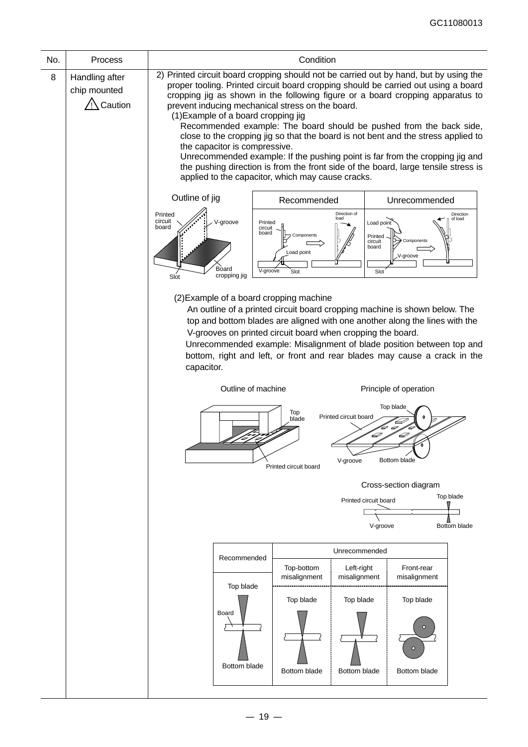| No. | Process                                                        | Condition                                                                                                                                                                                                                                                                                                                                                                                                                                                                                                                                                                                                                                                                                                                                                                        |  |  |  |  |  |  |
|-----|----------------------------------------------------------------|----------------------------------------------------------------------------------------------------------------------------------------------------------------------------------------------------------------------------------------------------------------------------------------------------------------------------------------------------------------------------------------------------------------------------------------------------------------------------------------------------------------------------------------------------------------------------------------------------------------------------------------------------------------------------------------------------------------------------------------------------------------------------------|--|--|--|--|--|--|
| 8   | Handling after<br>chip mounted<br>/! Caution                   | 2) Printed circuit board cropping should not be carried out by hand, but by using the<br>proper tooling. Printed circuit board cropping should be carried out using a board<br>cropping jig as shown in the following figure or a board cropping apparatus to<br>prevent inducing mechanical stress on the board.<br>(1) Example of a board cropping jig<br>Recommended example: The board should be pushed from the back side,<br>close to the cropping jig so that the board is not bent and the stress applied to<br>the capacitor is compressive.<br>Unrecommended example: If the pushing point is far from the cropping jig and<br>the pushing direction is from the front side of the board, large tensile stress is<br>applied to the capacitor, which may cause cracks. |  |  |  |  |  |  |
|     |                                                                | Outline of jig<br>Recommended<br>Unrecommended                                                                                                                                                                                                                                                                                                                                                                                                                                                                                                                                                                                                                                                                                                                                   |  |  |  |  |  |  |
|     |                                                                | Direction of<br>Printed<br>Direction<br>load<br>of load<br>circuit<br>V-groove<br>Load point<br>Printed<br>board<br>circuit<br>board<br>Components<br>Printed<br>Components<br>circuit<br>board<br>Load point<br>V-groove<br>Board<br>V-groove<br>Slot<br>Slot<br>cropping jig<br>Slot                                                                                                                                                                                                                                                                                                                                                                                                                                                                                           |  |  |  |  |  |  |
|     |                                                                | (2) Example of a board cropping machine<br>An outline of a printed circuit board cropping machine is shown below. The<br>top and bottom blades are aligned with one another along the lines with the<br>V-grooves on printed circuit board when cropping the board.<br>Unrecommended example: Misalignment of blade position between top and<br>bottom, right and left, or front and rear blades may cause a crack in the<br>capacitor.                                                                                                                                                                                                                                                                                                                                          |  |  |  |  |  |  |
|     |                                                                | Outline of machine<br>Principle of operation                                                                                                                                                                                                                                                                                                                                                                                                                                                                                                                                                                                                                                                                                                                                     |  |  |  |  |  |  |
|     |                                                                | Top blade<br>Top<br>Printed circuit board<br>blade<br>D<br>D<br>Bottom blade<br>V-groove<br>Printed circuit board                                                                                                                                                                                                                                                                                                                                                                                                                                                                                                                                                                                                                                                                |  |  |  |  |  |  |
|     |                                                                | Cross-section diagram                                                                                                                                                                                                                                                                                                                                                                                                                                                                                                                                                                                                                                                                                                                                                            |  |  |  |  |  |  |
|     | Top blade<br>Printed circuit board<br>Bottom blade<br>V-groove |                                                                                                                                                                                                                                                                                                                                                                                                                                                                                                                                                                                                                                                                                                                                                                                  |  |  |  |  |  |  |
|     |                                                                | Unrecommended<br>Recommended                                                                                                                                                                                                                                                                                                                                                                                                                                                                                                                                                                                                                                                                                                                                                     |  |  |  |  |  |  |
|     |                                                                | Top-bottom<br>Left-right<br>Front-rear<br>misalignment<br>misalignment<br>misalignment<br>Top blade                                                                                                                                                                                                                                                                                                                                                                                                                                                                                                                                                                                                                                                                              |  |  |  |  |  |  |
|     |                                                                | Top blade<br>Top blade<br>Top blade<br>Board<br>Bottom blade<br>Bottom blade<br>Bottom blade<br>Bottom blade                                                                                                                                                                                                                                                                                                                                                                                                                                                                                                                                                                                                                                                                     |  |  |  |  |  |  |
|     |                                                                |                                                                                                                                                                                                                                                                                                                                                                                                                                                                                                                                                                                                                                                                                                                                                                                  |  |  |  |  |  |  |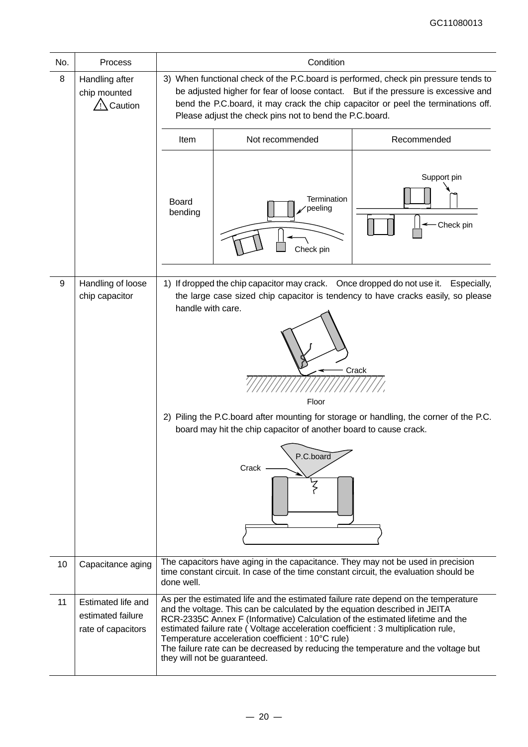| No. | Process                                                       | Condition                                                                                                                                                                                                                                                                                                                 |                                                                                                                                                                                                                                                                                                                                                                                                                                                                                                                  |                                                                                                                                                                                     |  |  |  |
|-----|---------------------------------------------------------------|---------------------------------------------------------------------------------------------------------------------------------------------------------------------------------------------------------------------------------------------------------------------------------------------------------------------------|------------------------------------------------------------------------------------------------------------------------------------------------------------------------------------------------------------------------------------------------------------------------------------------------------------------------------------------------------------------------------------------------------------------------------------------------------------------------------------------------------------------|-------------------------------------------------------------------------------------------------------------------------------------------------------------------------------------|--|--|--|
| 8   | Handling after<br>chip mounted<br>Caution                     | 3) When functional check of the P.C.board is performed, check pin pressure tends to<br>be adjusted higher for fear of loose contact. But if the pressure is excessive and<br>bend the P.C.board, it may crack the chip capacitor or peel the terminations off.<br>Please adjust the check pins not to bend the P.C.board. |                                                                                                                                                                                                                                                                                                                                                                                                                                                                                                                  |                                                                                                                                                                                     |  |  |  |
|     |                                                               | Not recommended<br>Recommended<br>Item                                                                                                                                                                                                                                                                                    |                                                                                                                                                                                                                                                                                                                                                                                                                                                                                                                  |                                                                                                                                                                                     |  |  |  |
|     |                                                               | <b>Board</b><br>bending                                                                                                                                                                                                                                                                                                   | Termination<br>peeling<br>Check pin                                                                                                                                                                                                                                                                                                                                                                                                                                                                              | Support pin<br>Check pin                                                                                                                                                            |  |  |  |
| 9   | Handling of loose                                             |                                                                                                                                                                                                                                                                                                                           | 1) If dropped the chip capacitor may crack. Once dropped do not use it.                                                                                                                                                                                                                                                                                                                                                                                                                                          | Especially,                                                                                                                                                                         |  |  |  |
|     | chip capacitor                                                | handle with care.                                                                                                                                                                                                                                                                                                         | Floor<br>board may hit the chip capacitor of another board to cause crack.<br>P.C.board<br>Crack                                                                                                                                                                                                                                                                                                                                                                                                                 | the large case sized chip capacitor is tendency to have cracks easily, so please<br>Crack<br>2) Piling the P.C.board after mounting for storage or handling, the corner of the P.C. |  |  |  |
| 10  | Capacitance aging                                             | done well.                                                                                                                                                                                                                                                                                                                | The capacitors have aging in the capacitance. They may not be used in precision<br>time constant circuit. In case of the time constant circuit, the evaluation should be                                                                                                                                                                                                                                                                                                                                         |                                                                                                                                                                                     |  |  |  |
| 11  | Estimated life and<br>estimated failure<br>rate of capacitors |                                                                                                                                                                                                                                                                                                                           | As per the estimated life and the estimated failure rate depend on the temperature<br>and the voltage. This can be calculated by the equation described in JEITA<br>RCR-2335C Annex F (Informative) Calculation of the estimated lifetime and the<br>estimated failure rate (Voltage acceleration coefficient : 3 multiplication rule,<br>Temperature acceleration coefficient : 10°C rule)<br>The failure rate can be decreased by reducing the temperature and the voltage but<br>they will not be guaranteed. |                                                                                                                                                                                     |  |  |  |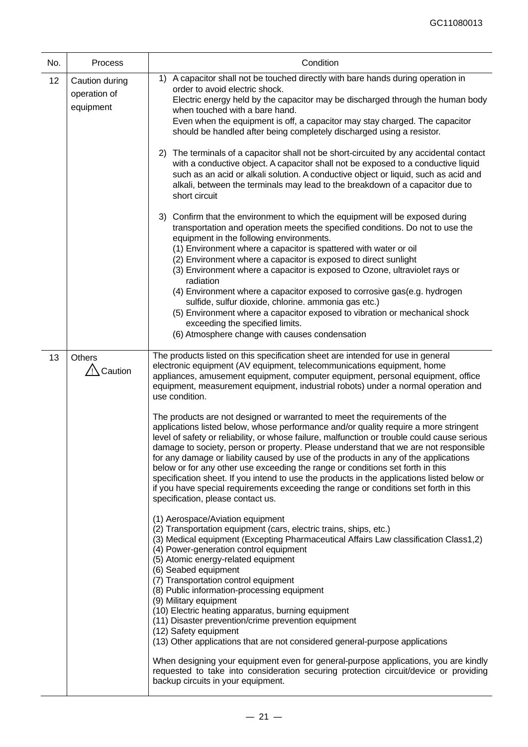| No. | Process                                     | Condition                                                                                                                                                                                                                                                                                                                                                                                                                                                                                                                                                                                                                                                                                                                                                                                                                                                                                                                                                                                                                                                                                                                                                                                                                                                                                                                                                                                                                                                                                                                                                                                                                                                                                                                                                                                                                                                                                                                                                                                    |  |  |  |
|-----|---------------------------------------------|----------------------------------------------------------------------------------------------------------------------------------------------------------------------------------------------------------------------------------------------------------------------------------------------------------------------------------------------------------------------------------------------------------------------------------------------------------------------------------------------------------------------------------------------------------------------------------------------------------------------------------------------------------------------------------------------------------------------------------------------------------------------------------------------------------------------------------------------------------------------------------------------------------------------------------------------------------------------------------------------------------------------------------------------------------------------------------------------------------------------------------------------------------------------------------------------------------------------------------------------------------------------------------------------------------------------------------------------------------------------------------------------------------------------------------------------------------------------------------------------------------------------------------------------------------------------------------------------------------------------------------------------------------------------------------------------------------------------------------------------------------------------------------------------------------------------------------------------------------------------------------------------------------------------------------------------------------------------------------------------|--|--|--|
| 12  | Caution during<br>operation of<br>equipment | A capacitor shall not be touched directly with bare hands during operation in<br>1)<br>order to avoid electric shock.<br>Electric energy held by the capacitor may be discharged through the human body<br>when touched with a bare hand.<br>Even when the equipment is off, a capacitor may stay charged. The capacitor<br>should be handled after being completely discharged using a resistor.                                                                                                                                                                                                                                                                                                                                                                                                                                                                                                                                                                                                                                                                                                                                                                                                                                                                                                                                                                                                                                                                                                                                                                                                                                                                                                                                                                                                                                                                                                                                                                                            |  |  |  |
|     |                                             | 2) The terminals of a capacitor shall not be short-circuited by any accidental contact<br>with a conductive object. A capacitor shall not be exposed to a conductive liquid<br>such as an acid or alkali solution. A conductive object or liquid, such as acid and<br>alkali, between the terminals may lead to the breakdown of a capacitor due to<br>short circuit                                                                                                                                                                                                                                                                                                                                                                                                                                                                                                                                                                                                                                                                                                                                                                                                                                                                                                                                                                                                                                                                                                                                                                                                                                                                                                                                                                                                                                                                                                                                                                                                                         |  |  |  |
|     |                                             | 3) Confirm that the environment to which the equipment will be exposed during<br>transportation and operation meets the specified conditions. Do not to use the<br>equipment in the following environments.<br>(1) Environment where a capacitor is spattered with water or oil<br>(2) Environment where a capacitor is exposed to direct sunlight<br>(3) Environment where a capacitor is exposed to Ozone, ultraviolet rays or<br>radiation<br>(4) Environment where a capacitor exposed to corrosive gas(e.g. hydrogen<br>sulfide, sulfur dioxide, chlorine. ammonia gas etc.)<br>(5) Environment where a capacitor exposed to vibration or mechanical shock<br>exceeding the specified limits.<br>(6) Atmosphere change with causes condensation                                                                                                                                                                                                                                                                                                                                                                                                                                                                                                                                                                                                                                                                                                                                                                                                                                                                                                                                                                                                                                                                                                                                                                                                                                         |  |  |  |
| 13  | Others<br>$\sqrt{2}$ Caution                | The products listed on this specification sheet are intended for use in general<br>electronic equipment (AV equipment, telecommunications equipment, home<br>appliances, amusement equipment, computer equipment, personal equipment, office<br>equipment, measurement equipment, industrial robots) under a normal operation and<br>use condition.<br>The products are not designed or warranted to meet the requirements of the<br>applications listed below, whose performance and/or quality require a more stringent<br>level of safety or reliability, or whose failure, malfunction or trouble could cause serious<br>damage to society, person or property. Please understand that we are not responsible<br>for any damage or liability caused by use of the products in any of the applications<br>below or for any other use exceeding the range or conditions set forth in this<br>specification sheet. If you intend to use the products in the applications listed below or<br>if you have special requirements exceeding the range or conditions set forth in this<br>specification, please contact us.<br>(1) Aerospace/Aviation equipment<br>(2) Transportation equipment (cars, electric trains, ships, etc.)<br>(3) Medical equipment (Excepting Pharmaceutical Affairs Law classification Class1,2)<br>(4) Power-generation control equipment<br>(5) Atomic energy-related equipment<br>(6) Seabed equipment<br>(7) Transportation control equipment<br>(8) Public information-processing equipment<br>(9) Military equipment<br>(10) Electric heating apparatus, burning equipment<br>(11) Disaster prevention/crime prevention equipment<br>(12) Safety equipment<br>(13) Other applications that are not considered general-purpose applications<br>When designing your equipment even for general-purpose applications, you are kindly<br>requested to take into consideration securing protection circuit/device or providing<br>backup circuits in your equipment. |  |  |  |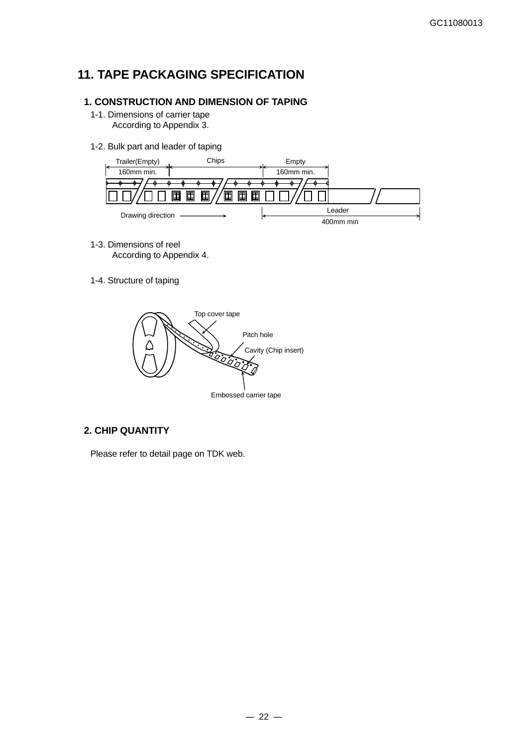# **11. TAPE PACKAGING SPECIFICATION**

### **1. CONSTRUCTION AND DIMENSION OF TAPING**

- 1-1. Dimensions of carrier tape According to Appendix 3.
- 1-2. Bulk part and leader of taping



- 1-3. Dimensions of reel According to Appendix 4.
- 1-4. Structure of taping



### **2. CHIP QUANTITY**

Please refer to detail page on TDK web.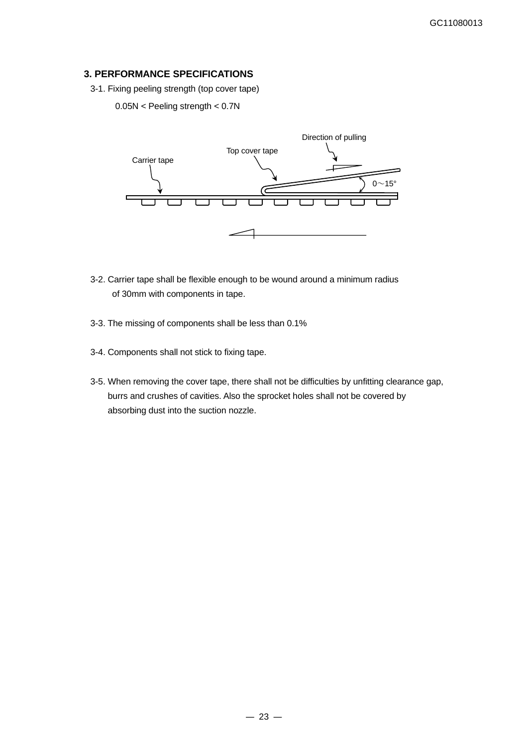### **3. PERFORMANCE SPECIFICATIONS**

3-1. Fixing peeling strength (top cover tape)

### 0.05N < Peeling strength < 0.7N



- 3-2. Carrier tape shall be flexible enough to be wound around a minimum radius of 30mm with components in tape.
- 3-3. The missing of components shall be less than 0.1%
- 3-4. Components shall not stick to fixing tape.
- 3-5. When removing the cover tape, there shall not be difficulties by unfitting clearance gap, burrs and crushes of cavities. Also the sprocket holes shall not be covered by absorbing dust into the suction nozzle.